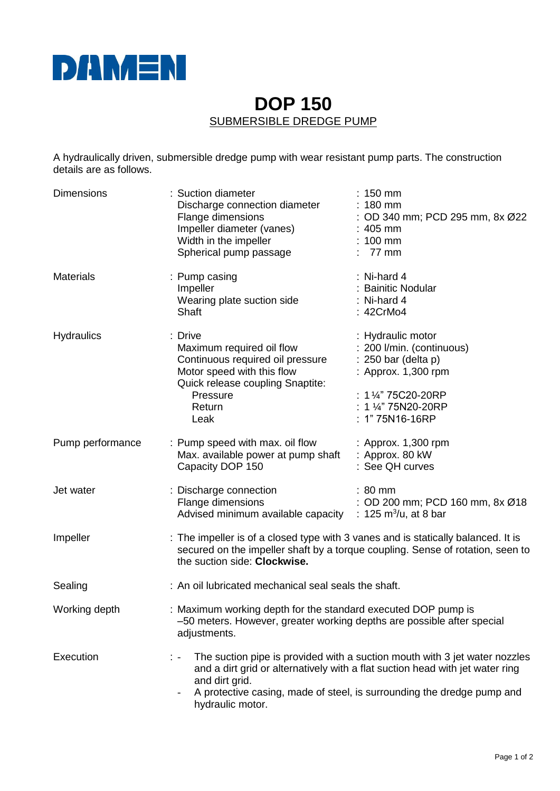

## **DOP 150** SUBMERSIBLE DREDGE PUMP

A hydraulically driven, submersible dredge pump with wear resistant pump parts. The construction details are as follows.

| <b>Dimensions</b> | : Suction diameter<br>Discharge connection diameter<br>Flange dimensions<br>Impeller diameter (vanes)<br>Width in the impeller<br>Spherical pump passage                                                                                                                    | $: 150$ mm<br>$: 180$ mm<br>: OD 340 mm; PCD 295 mm, 8x Ø22<br>$: 405$ mm<br>$: 100$ mm<br>$: 77$ mm                                                                    |
|-------------------|-----------------------------------------------------------------------------------------------------------------------------------------------------------------------------------------------------------------------------------------------------------------------------|-------------------------------------------------------------------------------------------------------------------------------------------------------------------------|
| <b>Materials</b>  | : Pump casing<br>Impeller<br>Wearing plate suction side<br>Shaft                                                                                                                                                                                                            | : Ni-hard 4<br>: Bainitic Nodular<br>: Ni-hard $4$<br>: 42CrMo4                                                                                                         |
| <b>Hydraulics</b> | : Drive<br>Maximum required oil flow<br>Continuous required oil pressure<br>Motor speed with this flow<br>Quick release coupling Snaptite:<br>Pressure<br>Return<br>Leak                                                                                                    | : Hydraulic motor<br>: 200 l/min. (continuous)<br>$: 250$ bar (delta p)<br>: Approx. 1,300 rpm<br>: 1 1⁄4" 75C20-20RP<br>: 1 $\frac{1}{4}$ 75N20-20RP<br>: 1"75N16-16RP |
| Pump performance  | : Pump speed with max. oil flow<br>Max. available power at pump shaft : Approx. 80 kW<br>Capacity DOP 150                                                                                                                                                                   | : Approx. 1,300 rpm<br>: See QH curves                                                                                                                                  |
| Jet water         | : Discharge connection<br>Flange dimensions<br>Advised minimum available capacity : 125 m <sup>3</sup> /u, at 8 bar                                                                                                                                                         | $: 80$ mm<br>: OD 200 mm; PCD 160 mm, 8x Ø18                                                                                                                            |
| Impeller          | : The impeller is of a closed type with 3 vanes and is statically balanced. It is<br>secured on the impeller shaft by a torque coupling. Sense of rotation, seen to<br>the suction side: Clockwise.                                                                         |                                                                                                                                                                         |
| Sealing           | : An oil lubricated mechanical seal seals the shaft.                                                                                                                                                                                                                        |                                                                                                                                                                         |
| Working depth     | : Maximum working depth for the standard executed DOP pump is<br>-50 meters. However, greater working depths are possible after special<br>adjustments.                                                                                                                     |                                                                                                                                                                         |
| Execution         | The suction pipe is provided with a suction mouth with 3 jet water nozzles<br>and a dirt grid or alternatively with a flat suction head with jet water ring<br>and dirt grid.<br>A protective casing, made of steel, is surrounding the dredge pump and<br>hydraulic motor. |                                                                                                                                                                         |